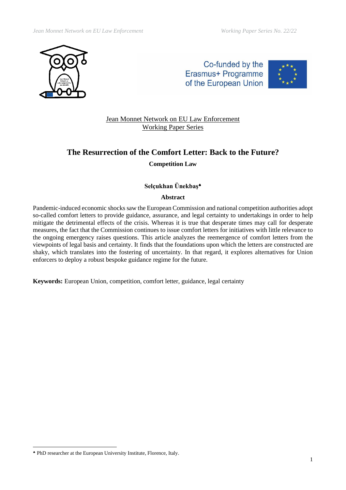

Co-funded by the Erasmus+ Programme of the European Union



Jean Monnet Network on EU Law Enforcement Working Paper Series

# **The Resurrection of the Comfort Letter: Back to the Future? Competition Law**

# **Selçukhan Ünekbaş**

## **Abstract**

Pandemic-induced economic shocks saw the European Commission and national competition authorities adopt so-called comfort letters to provide guidance, assurance, and legal certainty to undertakings in order to help mitigate the detrimental effects of the crisis. Whereas it is true that desperate times may call for desperate measures, the fact that the Commission continues to issue comfort letters for initiatives with little relevance to the ongoing emergency raises questions. This article analyzes the reemergence of comfort letters from the viewpoints of legal basis and certainty. It finds that the foundations upon which the letters are constructed are shaky, which translates into the fostering of uncertainty. In that regard, it explores alternatives for Union enforcers to deploy a robust bespoke guidance regime for the future.

**Keywords:** European Union, competition, comfort letter, guidance, legal certainty

PhD researcher at the European University Institute, Florence, Italy.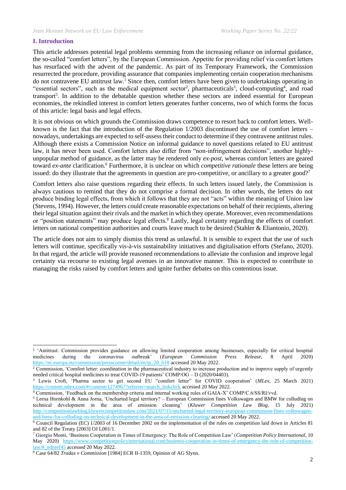## **I. Introduction**

This article addresses potential legal problems stemming from the increasing reliance on informal guidance, the so-called "comfort letters", by the European Commission. Appetite for providing relief via comfort letters has resurfaced with the advent of the pandemic. As part of its Temporary Framework, the Commission resurrected the procedure, providing assurance that companies implementing certain cooperation mechanisms do not contravene EU antitrust law.<sup>1</sup> Since then, comfort letters have been given to undertakings operating in "essential sectors", such as the medical equipment sector<sup>2</sup>, pharmaceuticals<sup>3</sup>, cloud-computing<sup>4</sup>, and road transport<sup>5</sup>. In addition to the debatable question whether these sectors are indeed essential for European economies, the rekindled interest in comfort letters generates further concerns, two of which forms the focus of this article: legal basis and legal effects.

It is not obvious on which grounds the Commission draws competence to resort back to comfort letters. Wellknown is the fact that the introduction of the Regulation 1/2003 discontinued the use of comfort letters – nowadays, undertakings are expected to self-assess their conduct to determine if they contravene antitrust rules. Although there exists a Commission Notice on informal guidance to novel questions related to EU antitrust law, it has never been used. Comfort letters also differ from "non-infringement decisions", another highlyunpopular method of guidance, as the latter may be rendered only *ex-post*, whereas comfort letters are geared toward *ex-ante* clarification.<sup>6</sup> Furthermore, it is unclear on which *competitive rationale* these letters are being issued: do they illustrate that the agreements in question are pro-competitive, or ancillary to a greater good?<sup>7</sup>

Comfort letters also raise questions regarding their effects. In such letters issued lately, the Commission is always cautious to remind that they do not comprise a formal decision. In other words, the letters do not produce binding legal effects, from which it follows that they are not "acts" within the meaning of Union law (Stevens, 1994). However, the letters could create reasonable expectations on behalf of their recipients, altering their legal situation against their rivals and the market in which they operate. Moreover, even recommendations or "position statements" may produce legal effects.<sup>8</sup> Lastly, legal certainty regarding the effects of comfort letters on national competition authorities and courts leave much to be desired (Stahler & Eliantonio, 2020).

The article does not aim to simply dismiss this trend as unlawful. It is sensible to expect that the use of such letters will continue, specifically vis-à-vis sustainability initiatives and digitalisation efforts (Stefano, 2020). In that regard, the article will provide reasoned recommendations to alleviate the confusion and improve legal certainty via recourse to existing legal avenues in an innovative manner. This is expected to contribute to managing the risks raised by comfort letters and ignite further debates on this contentious issue.

<sup>3</sup> Lewis Croft, 'Pharma sector to get second EU "comfort letter" for COVID cooperation' (*MLex*, 25 March 2021) [https://content.mlex.com/#/content/1274967?referrer=search\\_linkclick](https://content.mlex.com/#/content/1274967?referrer=search_linkclick) accessed 20 May 2022.

<sup>4</sup> Commission, 'Feedback on the membership criteria and internal working rules of GAIA-X' COMP/C.6/SS/RI/vvd.

<sup>&</sup>lt;sup>1</sup> 'Antitrust: Commission provides guidance on allowing limited cooperation among businesses, especially for critical hospital medicines during the coronavirus outbreak' (*European Commission Press Release*, 8 April 2020) [https://ec.europa.eu/commission/presscorner/detail/en/ip\\_20\\_618](https://ec.europa.eu/commission/presscorner/detail/en/ip_20_618) accessed 20 May 2022.

 $2$  Commission, 'Comfort letter: coordination in the pharmaceutical industry to increase production and to improve supply of urgently needed critical hospital medicines to treat COVID-19 patients' COMP/OG – D (2020/04403).

<sup>5</sup> Lerna Hornkohl & Anna Jorna, 'Uncharted legal territory? – European Commission fines Volkswagen and BMW for colluding on technical development in the area of emission cleaning' (*Kluwer Competition Law Blog,* 15 July 2021) [http://competitionlawblog.kluwercompetitionlaw.com/2021/07/15/uncharted-legal-territory-european-commission-fines-volkswagen](http://competitionlawblog.kluwercompetitionlaw.com/2021/07/15/uncharted-legal-territory-european-commission-fines-volkswagen-and-bmw-for-colluding-on-technical-development-in-the-area-of-emission-cleaning/)[and-bmw-for-colluding-on-technical-development-in-the-area-of-emission-cleaning/](http://competitionlawblog.kluwercompetitionlaw.com/2021/07/15/uncharted-legal-territory-european-commission-fines-volkswagen-and-bmw-for-colluding-on-technical-development-in-the-area-of-emission-cleaning/) accessed 20 May 2022.

 $6$  Council Regulation (EC) 1/2003 of 16 December 2002 on the implementation of the rules on competition laid down in Articles 81 and 82 of the Treaty [2003] OJ L001/1.

<sup>7</sup> Giorgio Monti, 'Business Cooperation in Times of Emergency: The Role of Competition Law' (*Competition Policy International*, 10 May 2020) [https://www.competitionpolicyinternational.com/business-cooperation-in-times-of-emergency-the-role-of-competition](https://www.competitionpolicyinternational.com/business-cooperation-in-times-of-emergency-the-role-of-competition-law/#_ednref45)[law/#\\_ednref45](https://www.competitionpolicyinternational.com/business-cooperation-in-times-of-emergency-the-role-of-competition-law/#_ednref45) accessed 20 May 2022.

<sup>8</sup> Case 64/82 *Tradax v Commission* [1984] ECR II-1359, Opinion of AG Slynn.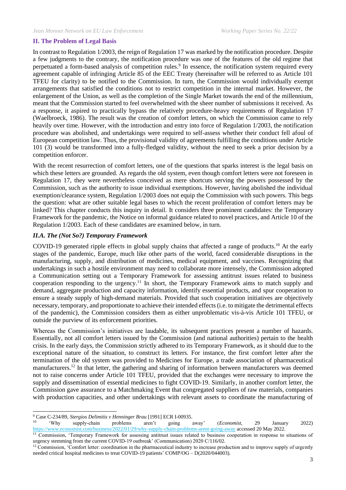#### **II. The Problem of Legal Basis**

In contrast to Regulation 1/2003, the reign of Regulation 17 was marked by the notification procedure. Despite a few judgments to the contrary, the notification procedure was one of the features of the old regime that perpetuated a form-based analysis of competition rules.<sup>9</sup> In essence, the notification system required every agreement capable of infringing Article 85 of the EEC Treaty (hereinafter will be referred to as Article 101 TFEU for clarity) to be notified to the Commission. In turn, the Commission would individually exempt arrangements that satisfied the conditions not to restrict competition in the internal market. However, the enlargement of the Union, as well as the completion of the Single Market towards the end of the millennium, meant that the Commission started to feel overwhelmed with the sheer number of submissions it received. As a response, it aspired to practically bypass the relatively procedure-heavy requirements of Regulation 17 (Waelbroeck, 1986). The result was the creation of comfort letters, on which the Commission came to rely heavily over time. However, with the introduction and entry into force of Regulation 1/2003, the notification procedure was abolished, and undertakings were required to self-assess whether their conduct fell afoul of European competition law. Thus, the provisional validity of agreements fulfilling the conditions under Article 101 (3) would be transformed into a fully-fledged validity, without the need to seek a prior decision by a competition enforcer.

With the recent resurrection of comfort letters, one of the questions that sparks interest is the legal basis on which these letters are grounded. As regards the old system, even though comfort letters were not foreseen in Regulation 17, they were nevertheless conceived as mere shortcuts serving the powers possessed by the Commission, such as the authority to issue individual exemptions. However, having abolished the individual exemption/clearance system, Regulation 1/2003 does not equip the Commission with such powers. This begs the question: what are other suitable legal bases to which the recent proliferation of comfort letters may be linked? This chapter conducts this inquiry in detail. It considers three prominent candidates: the Temporary Framework for the pandemic, the Notice on informal guidance related to novel practices, and Article 10 of the Regulation 1/2003. Each of these candidates are examined below, in turn.

#### *II.A. The (Not So?) Temporary Framework*

COVID-19 generated ripple effects in global supply chains that affected a range of products.<sup>10</sup> At the early stages of the pandemic, Europe, much like other parts of the world, faced considerable disruptions in the manufacturing, supply, and distribution of medicines, medical equipment, and vaccines. Recognizing that undertakings in such a hostile environment may need to collaborate more intensely, the Commission adopted a Communication setting out a Temporary Framework for assessing antitrust issues related to business cooperation responding to the urgency.<sup>11</sup> In short, the Temporary Framework aims to match supply and demand, aggregate production and capacity information, identify essential products, and spur cooperation to ensure a steady supply of high-demand materials. Provided that such cooperation initiatives are objectively necessary, temporary, and proportionate to achieve their intended effects (i.e. to mitigate the detrimental effects of the pandemic), the Commission considers them as either unproblematic vis-à-vis Article 101 TFEU, or outside the purview of its enforcement priorities.

Whereas the Commission's initiatives are laudable, its subsequent practices present a number of hazards. Essentially, not all comfort letters issued by the Commission (and national authorities) pertain to the health crisis. In the early days, the Commission strictly adhered to its Temporary Framework, as it should due to the exceptional nature of the situation, to construct its letters. For instance, the first comfort letter after the termination of the old system was provided to Medicines for Europe, a trade association of pharmaceutical manufacturers.<sup>12</sup> In that letter, the gathering and sharing of information between manufacturers was deemed not to raise concerns under Article 101 TFEU, provided that the exchanges were necessary to improve the supply and dissemination of essential medicines to fight COVID-19. Similarly, in another comfort letter, the Commission gave assurance to a Matchmaking Event that congregated suppliers of raw materials, companies with production capacities, and other undertakings with relevant assets to coordinate the manufacturing of

<sup>9</sup> Case C-234/89, *Stergios Delimitis v Henninger Brau* [1991] ECR I-00935.

<sup>10</sup> 'Why supply-chain problems aren't going away' (*Economist*, 29 January 2022) <https://www.economist.com/business/2022/01/29/why-supply-chain-problems-arent-going-away> accessed 20 May 2022.

<sup>&</sup>lt;sup>11</sup> Commission, 'Temporary Framework for assessing antitrust issues related to business cooperation in response to situations of urgency stemming from the current COVID-19 outbreak' (Communication) 2020 C/116/02.

<sup>&</sup>lt;sup>12</sup> Commission, 'Comfort letter: coordination in the pharmaceutical industry to increase production and to improve supply of urgently needed critical hospital medicines to treat COVID-19 patients' COMP/OG – D(2020/044003).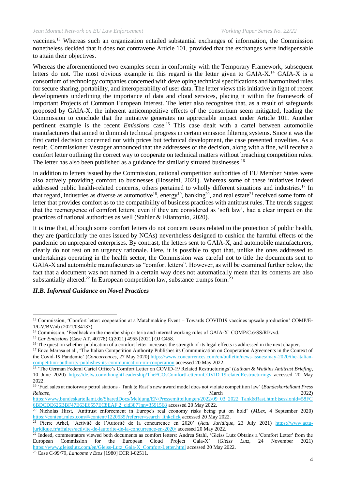vaccines.<sup>13</sup> Whereas such an organization entailed substantial exchanges of information, the Commission nonetheless decided that it does not contravene Article 101, provided that the exchanges were indispensable to attain their objectives.

Whereas the aforementioned two examples seem in conformity with the Temporary Framework, subsequent letters do not. The most obvious example in this regard is the letter given to  $G A I A - X$ .<sup>14</sup>  $G A I A - X$  is a consortium of technology companies concerned with developing technical specifications and harmonized rules for secure sharing, portability, and interoperability of user data. The letter views this initiative in light of recent developments underlining the importance of data and cloud services, placing it within the framework of Important Projects of Common European Interest. The letter also recognizes that, as a result of safeguards proposed by GAIA-X, the inherent anticompetitive effects of the consortium seem mitigated, leading the Commission to conclude that the initiative generates no appreciable impact under Article 101. Another pertinent example is the recent *Emissions* case.<sup>15</sup> This case dealt with a cartel between automobile manufacturers that aimed to diminish technical progress in certain emission filtering systems. Since it was the first cartel decision concerned not with prices but technical development, the case presented novelties. As a result, Commissioner Vestager announced that the addressees of the decision, along with a fine, will receive a comfort letter outlining the correct way to cooperate on technical matters without breaching competition rules. The letter has also been published as a guidance for similarly situated businesses.<sup>16</sup>

In addition to letters issued by the Commission, national competition authorities of EU Member States were also actively providing comfort to businesses (Hosseini, 2021). Whereas some of these initiatives indeed addressed public health-related concerns, others pertained to wholly different situations and industries.<sup>17</sup> In that regard, industries as diverse as automotive<sup>18</sup>, energy<sup>19</sup>, banking<sup>20</sup>, and real estate<sup>21</sup> received some form of letter that provides comfort as to the compatibility of business practices with antitrust rules. The trends suggest that the reemergence of comfort letters, even if they are considered as 'soft law', had a clear impact on the practices of national authorities as well (Stahler & Eliantonio, 2020).

It is true that, although some comfort letters do not concern issues related to the protection of public health, they are (particularly the ones issued by NCAs) nevertheless designed to cushion the harmful effects of the pandemic on unprepared enterprises. By contrast, the letters sent to GAIA-X, and automobile manufacturers, clearly do not rest on an urgency rationale. Here, it is possible to spot that, unlike the ones addressed to undertakings operating in the health sector, the Commission was careful not to title the documents sent to GAIA-X and automobile manufacturers as "comfort letters". However, as will be examined further below, the fact that a document was not named in a certain way does not automatically mean that its contents are also substantially altered.<sup>22</sup> In European competition law, substance trumps form.<sup>23</sup>

## *II.B. Informal Guidance on Novel Practices*

[6BDCDE626BBF47E63E6557EC8EAF.2\\_cid387?nn=3591568](https://www.bundeskartellamt.de/SharedDocs/Meldung/EN/Pressemitteilungen/2022/09_03_2022_Tank&Rast.html;jsessionid=58FC6BDCDE626BBF47E63E6557EC8EAF.2_cid387?nn=3591568) accessed 20 May 2022.

<sup>13</sup> Commission, 'Comfort letter: cooperation at a Matchmaking Event – Towards COVID19 vaccines upscale production' COMP/E-1/GV/BV/nb (2021/034137).

<sup>&</sup>lt;sup>14</sup> Commission, 'Feedback on the membership criteria and internal working rules of GAIA-X' COMP/C.6/SS/RI/vvd.

<sup>15</sup> *Car Emissions* (Case AT. 40178) C(2021) 4955 [2021] OJ C458.

<sup>&</sup>lt;sup>16</sup> The question whether publication of a comfort letter increases the strength of its legal effects is addressed in the next chapter.

<sup>&</sup>lt;sup>17</sup> Enzo Marasa et al., 'The Italian Competition Authority Publishes its Communication on Cooperation Agreements in the Context of the Covid-19 Pandemic' (*Concurrences*, 27 May 2020) [https://www.concurrences.com/en/bulletin/news-issues/may-2020/the-italian](https://www.concurrences.com/en/bulletin/news-issues/may-2020/the-italian-competition-authority-publishes-its-communication-on-cooperation)[competition-authority-publishes-its-communication-on-cooperation](https://www.concurrences.com/en/bulletin/news-issues/may-2020/the-italian-competition-authority-publishes-its-communication-on-cooperation) accessed 20 May 2022.

<sup>18</sup> 'The German Federal Cartel Office's Comfort Letter on COVID-19 Related Restructurings' (*Latham & Watkins Antitrust Briefing*, 10 June 2020) <https://de.lw.com/thoughtLeadership/TheFCOsComfortLetteronCOVID-19relatedRestructurings> accessed 20 May 2022.

<sup>19</sup> 'Fuel sales at motorway petrol stations - Tank & Rast's new award model does not violate competition law' (*Bundeskartellamt Press Release*, 2022) [https://www.bundeskartellamt.de/SharedDocs/Meldung/EN/Pressemitteilungen/2022/09\\_03\\_2022\\_Tank&Rast.html;jsessionid=58FC](https://www.bundeskartellamt.de/SharedDocs/Meldung/EN/Pressemitteilungen/2022/09_03_2022_Tank&Rast.html;jsessionid=58FC6BDCDE626BBF47E63E6557EC8EAF.2_cid387?nn=3591568)

<sup>20</sup> Nicholas Hirst, 'Antitrust enforcement in Europe's real economy risks being put on hold' (*MLex*, 4 September 2020) [https://content.mlex.com/#/content/1220535?referrer=search\\_linkclick](https://content.mlex.com/#/content/1220535?referrer=search_linkclick) accessed 20 May 2022.

<sup>21</sup> Pierre Arhel, 'Activité de l'Autorité de la concurrence en 2020' (*Actu Juridique*, 23 July 2021) [https://www.actu](https://www.actu-juridique.fr/affaires/activite-de-lautorite-de-la-concurrence-en-2020/)[juridique.fr/affaires/activite-de-lautorite-de-la-concurrence-en-2020/](https://www.actu-juridique.fr/affaires/activite-de-lautorite-de-la-concurrence-en-2020/) accessed 20 May 2022.

<sup>&</sup>lt;sup>22</sup> Indeed, commentators viewed both documents as comfort letters: Andrea Stahl, 'Gleiss Lutz Obtains a 'Comfort Letter' from the European Commission for the European Cloud Project Gaia-X' (*Gleiss Lutz*, 24 November 2021) [https://www.gleisslutz.com/en/Gleiss-Lutz\\_Gaia-X\\_Comfort-Letter.html](https://www.gleisslutz.com/en/Gleiss-Lutz_Gaia-X_Comfort-Letter.html) accessed 20 May 2022.

<sup>23</sup> Case C-99/79, *Lancome v Etos* [1980] ECR I-02511.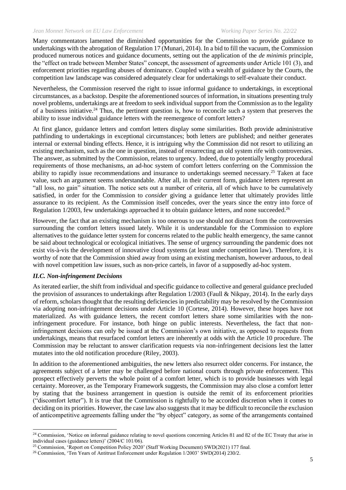Many commentators lamented the diminished opportunities for the Commission to provide guidance to undertakings with the abrogation of Regulation 17 (Munari, 2014). In a bid to fill the vacuum, the Commission produced numerous notices and guidance documents, setting out the application of the *de minimis* principle, the "effect on trade between Member States" concept, the assessment of agreements under Article 101 (3), and enforcement priorities regarding abuses of dominance. Coupled with a wealth of guidance by the Courts, the competition law landscape was considered adequately clear for undertakings to self-evaluate their conduct.

Nevertheless, the Commission reserved the right to issue informal guidance to undertakings, in exceptional circumstances, as a backstop. Despite the aforementioned sources of information, in situations presenting truly novel problems, undertakings are at freedom to seek individual support from the Commission as to the legality of a business initiative.<sup>24</sup> Thus, the pertinent question is, how to reconcile such a system that preserves the ability to issue individual guidance letters with the reemergence of comfort letters?

At first glance, guidance letters and comfort letters display some similarities. Both provide administrative pathfinding to undertakings in exceptional circumstances; both letters are published; and neither generates internal or external binding effects. Hence, it is intriguing why the Commission did not resort to utilizing an existing mechanism, such as the one in question, instead of resurrecting an old system rife with controversies. The answer, as submitted by the Commission, relates to urgency. Indeed, due to potentially lengthy procedural requirements of those mechanisms, an ad-hoc system of comfort letters conferring on the Commission the ability to rapidly issue recommendations and insurance to undertakings seemed necessary.<sup>25</sup> Taken at face value, such an argument seems understandable. After all, in their current form, guidance letters represent an "all loss, no gain" situation. The notice sets out a number of criteria, all of which have to be cumulatively satisfied, in order for the Commission to *consider* giving a guidance letter that ultimately provides little assurance to its recipient. As the Commission itself concedes, over the years since the entry into force of Regulation 1/2003, few undertakings approached it to obtain guidance letters, and none succeeded.<sup>26</sup>

However, the fact that an existing mechanism is too onerous to use should not distract from the controversies surrounding the comfort letters issued lately. While it is understandable for the Commission to explore alternatives to the guidance letter system for concerns related to the public health emergency, the same cannot be said about technological or ecological initiatives. The sense of urgency surrounding the pandemic does not exist vis-à-vis the development of innovative cloud systems (at least under competition law). Therefore, it is worthy of note that the Commission shied away from using an existing mechanism, however arduous, to deal with novel competition law issues, such as non-price cartels, in favor of a supposedly ad-hoc system.

## *II.C. Non-infringement Decisions*

As iterated earlier, the shift from individual and specific guidance to collective and general guidance precluded the provision of assurances to undertakings after Regulation 1/2003 (Faull & Nikpay, 2014). In the early days of reform, scholars thought that the resulting deficiencies in predictability may be resolved by the Commission via adopting non-infringement decisions under Article 10 (Cortese, 2014). However, these hopes have not materialized. As with guidance letters, the recent comfort letters share some similarities with the noninfringement procedure. For instance, both hinge on public interests. Nevertheless, the fact that noninfringement decisions can only be issued at the Commission's own initiative, as opposed to requests from undertakings, means that resurfaced comfort letters are inherently at odds with the Article 10 procedure. The Commission may be reluctant to answer clarification requests via non-infringement decisions lest the latter mutates into the old notification procedure (Riley, 2003).

In addition to the aforementioned ambiguities, the new letters also resurrect older concerns. For instance, the agreements subject of a letter may be challenged before national courts through private enforcement. This prospect effectively perverts the whole point of a comfort letter, which is to provide businesses with legal certainty. Moreover, as the Temporary Framework suggests, the Commission may also close a comfort letter by stating that the business arrangement in question is outside the remit of its enforcement priorities ("discomfort letter"). It is true that the Commission is rightfully to be accorded discretion when it comes to deciding on its priorities. However, the case law also suggests that it may be difficult to reconcile the exclusion of anticompetitive agreements falling under the "by object" category, as some of the arrangements contained

<sup>&</sup>lt;sup>24</sup> Commission, 'Notice on informal guidance relating to novel questions concerning Articles 81 and 82 of the EC Treaty that arise in individual cases (guidance letters)' (2004/C 101/06).

<sup>25</sup> Commission, 'Report on Competition Policy 2020' (Staff Working Document) SWD(2021) 177 final.

<sup>26</sup> Commission, 'Ten Years of Antitrust Enforcement under Regulation 1/2003' SWD(2014) 230/2.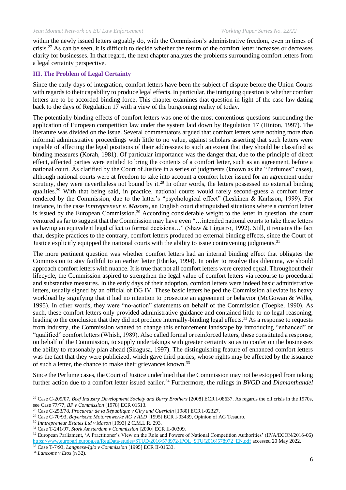within the newly issued letters arguably do, with the Commission's administrative freedom, even in times of crisis.<sup>27</sup> As can be seen, it is difficult to decide whether the return of the comfort letter increases or decreases clarity for businesses. In that regard, the next chapter analyzes the problems surrounding comfort letters from a legal certainty perspective.

## **III. The Problem of Legal Certainty**

Since the early days of integration, comfort letters have been the subject of dispute before the Union Courts with regards to their capability to produce legal effects. In particular, the intriguing question is whether comfort letters are to be accorded binding force. This chapter examines that question in light of the case law dating back to the days of Regulation 17 with a view of the burgeoning reality of today.

The potentially binding effects of comfort letters was one of the most contentious questions surrounding the application of European competition law under the system laid down by Regulation 17 (Hinton, 1997). The literature was divided on the issue. Several commentators argued that comfort letters were nothing more than informal administrative proceedings with little to no value, against scholars asserting that such letters were capable of affecting the legal positions of their addressees to such an extent that they should be classified as binding measures (Korah, 1981). Of particular importance was the danger that, due to the principle of direct effect, affected parties were entitled to bring the contents of a comfort letter, such as an agreement, before a national court. As clarified by the Court of Justice in a series of judgments (known as the "Perfumes" cases), although national courts were at freedom to take into account a comfort letter issued for an agreement under scrutiny, they were nevertheless not bound by it.<sup>28</sup> In other words, the letters possessed no external binding qualities.<sup>29</sup> With that being said, in practice, national courts would rarely second-guess a comfort letter rendered by the Commission, due to the latter's "psychological effect" (Leskinen & Karlsson, 1999). For instance, in the case *Inntrepreneur v. Masons*, an English court distinguished situations where a comfort letter is issued by the European Commission.<sup>30</sup> According considerable weight to the letter in question, the court ventured as far to suggest that the Commission may have even "…intended national courts to take these letters as having an equivalent legal effect to formal decisions…" (Shaw & Ligustro, 1992). Still, it remains the fact that, despite practices to the contrary, comfort letters produced no external binding effects, since the Court of Justice explicitly equipped the national courts with the ability to issue contravening judgments.<sup>31</sup>

The more pertinent question was whether comfort letters had an internal binding effect that obligates the Commission to stay faithful to an earlier letter (Ehrike, 1994). In order to resolve this dilemma, we should approach comfort letters with nuance. It is true that not all comfort letters were created equal. Throughout their lifecycle, the Commission aspired to strengthen the legal value of comfort letters via recourse to procedural and substantive measures. In the early days of their adoption, comfort letters were indeed basic administrative letters, usually signed by an official of DG IV. These basic letters helped the Commission alleviate its heavy workload by signifying that it had no intention to prosecute an agreement or behavior (McGowan & Wilks, 1995). In other words, they were "no-action" statements on behalf of the Commission (Toepke, 1990). As such, these comfort letters only provided administrative guidance and contained little to no legal reasoning, leading to the conclusion that they did not produce internally-binding legal effects.<sup>32</sup> As a response to requests from industry, the Commission wanted to change this enforcement landscape by introducing "enhanced" or "qualified" comfort letters (Whish, 1989). Also called formal or reinforced letters, these constituted a response, on behalf of the Commission, to supply undertakings with greater certainty so as to confer on the businesses the ability to reasonably plan ahead (Siragusa, 1997). The distinguishing feature of enhanced comfort letters was the fact that they were publicized, which gave third parties, whose rights may be affected by the issuance of such a letter, the chance to make their grievances known.<sup>33</sup>

Since the Perfume cases, the Court of Justice underlined that the Commission may not be estopped from taking further action due to a comfort letter issued earlier.<sup>34</sup> Furthermore, the rulings in *BVGD* and *Diamanthandel* 

<sup>27</sup> Case C-209/07, *Beef Industry Development Society and Barry Brothers* [2008] ECR I-08637. As regards the oil crisis in the 1970s, see Case 77/77, *BP v Commission* [1978] ECR 01513.

<sup>28</sup> Case C-253/78, *Procureur de la République v Giry and Guerlain* [1980] ECR I-02327.

<sup>&</sup>lt;sup>29</sup> Case C-70/93, *Bayerische Motorenwerke AG v ALD* [1995] ECR I-03439, Opinion of AG Tesauro.

<sup>30</sup> *Inntrepreneur Estates Ltd v Mason* [1993] 2 C.M.L.R. 293.

<sup>31</sup> Case T-241/97, *Stork Amsterdam v Commission* [2000] ECR II-00309.

<sup>32</sup> European Parliament, 'A Practitioner's View on the Role and Powers of National Competition Authorities' (IP/A/ECON/2016-06) [https://www.europarl.europa.eu/RegData/etudes/STUD/2016/578972/IPOL\\_STU\(2016\)578972\\_EN.pdf](https://www.europarl.europa.eu/RegData/etudes/STUD/2016/578972/IPOL_STU(2016)578972_EN.pdf) accessed 20 May 2022.

<sup>33</sup> Case T-7/93, *Langnese-Iglo v Commission* [1995] ECR II-01533.

<sup>34</sup> *Lancome v Etos* (n 32).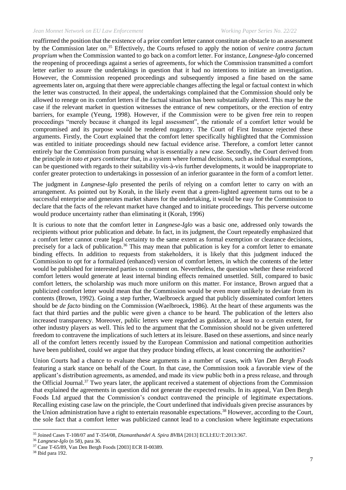reaffirmed the position that the existence of a prior comfort letter cannot constitute an obstacle to an assessment by the Commission later on.<sup>35</sup> Effectively, the Courts refused to apply the notion of *venire contra factum proprium* when the Commission wanted to go back on a comfort letter. For instance, *Langnese-Iglo* concerned the reopening of proceedings against a series of agreements, for which the Commission transmitted a comfort letter earlier to assure the undertakings in question that it had no intentions to initiate an investigation. However, the Commission reopened proceedings and subsequently imposed a fine based on the same agreements later on, arguing that there were appreciable changes affecting the legal or factual context in which the letter was constructed. In their appeal, the undertakings complained that the Commission should only be allowed to renege on its comfort letters if the factual situation has been substantially altered. This may be the case if the relevant market in question witnesses the entrance of new competitors, or the erection of entry barriers, for example (Yeung, 1998). However, if the Commission were to be given free rein to reopen proceedings "merely because it changed its legal assessment", the rationale of a comfort letter would be compromised and its purpose would be rendered nugatory. The Court of First Instance rejected these arguments. Firstly, the Court explained that the comfort letter specifically highlighted that the Commission was entitled to initiate proceedings should new factual evidence arise. Therefore, a comfort letter cannot entirely bar the Commission from pursuing what is essentially a new case. Secondly, the Court derived from the principle *in toto et pars continetur* that, in a system where formal decisions, such as individual exemptions, can be questioned with regards to their suitability vis-à-vis further developments, it would be inappropriate to confer greater protection to undertakings in possession of an inferior guarantee in the form of a comfort letter.

The judgment in *Langnese-Iglo* presented the perils of relying on a comfort letter to carry on with an arrangement. As pointed out by Korah, in the likely event that a green-lighted agreement turns out to be a successful enterprise and generates market shares for the undertaking, it would be easy for the Commission to declare that the facts of the relevant market have changed and to initiate proceedings. This perverse outcome would produce uncertainty rather than eliminating it (Korah, 1996)

It is curious to note that the comfort letter in *Langnese-Iglo* was a basic one, addressed only towards the recipients without prior publication and debate. In fact, in its judgment, the Court repeatedly emphasized that a comfort letter cannot create legal certainty to the same extent as formal exemption or clearance decisions, precisely for a lack of publication.<sup>36</sup> This may mean that publication is key for a comfort letter to emanate binding effects. In addition to requests from stakeholders, it is likely that this judgment induced the Commission to opt for a formalized (enhanced) version of comfort letters, in which the contents of the letter would be published for interested parties to comment on. Nevertheless, the question whether these reinforced comfort letters would generate at least internal binding effects remained unsettled. Still, compared to basic comfort letters, the scholarship was much more uniform on this matter. For instance, Brown argued that a publicized comfort letter would mean that the Commission would be even more unlikely to deviate from its contents (Brown, 1992). Going a step further, Waelbroeck argued that publicly disseminated comfort letters should be *de facto* binding on the Commission (Waelbroeck, 1986). At the heart of these arguments was the fact that third parties and the public were given a chance to be heard. The publication of the letters also increased transparency. Moreover, public letters were regarded as guidance, at least to a certain extent, for other industry players as well. This led to the argument that the Commission should not be given unfettered freedom to contravene the implications of such letters at its leisure. Based on these assertions, and since nearly all of the comfort letters recently issued by the European Commission and national competition authorities have been published, could we argue that they produce binding effects, at least concerning the authorities?

Union Courts had a chance to evaluate these arguments in a number of cases, with *Van Den Bergh Foods* featuring a stark stance on behalf of the Court. In that case, the Commission took a favorable view of the applicant's distribution agreements, as amended, and made its view public both in a press release, and through the Official Journal.<sup>37</sup> Two years later, the applicant received a statement of objections from the Commission that explained the agreements in question did not generate the expected results. In its appeal, Van Den Bergh Foods Ltd argued that the Commission's conduct contravened the principle of legitimate expectations. Recalling existing case law on the principle, the Court underlined that individuals given precise assurances by the Union administration have a right to entertain reasonable expectations.<sup>38</sup> However, according to the Court, the sole fact that a comfort letter was publicized cannot lead to a conclusion where legitimate expectations

<sup>35</sup> Joined Cases T-108/07 and T-354/08, *Diamanthandel A. Spira BVBA* [2013] ECLI:EU:T:2013:367.

<sup>36</sup> *Langnese-Iglo* (n 58), para 36.

<sup>37</sup> Case T-65/89, Van Den Bergh Foods [2003] ECR II-00389.

<sup>38</sup> Ibid para 192.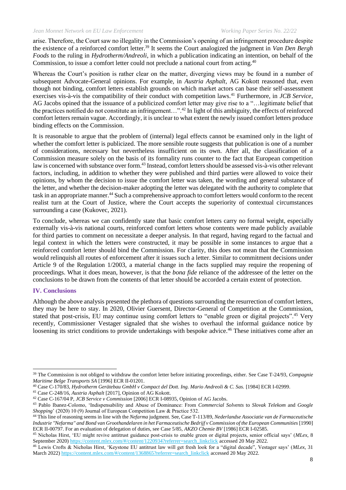arise. Therefore, the Court saw no illegality in the Commission's opening of an infringement procedure despite the existence of a reinforced comfort letter.<sup>39</sup> It seems the Court analogized the judgment in *Van Den Bergh Foods* to the ruling in *Hydrotherm/Andreoli*, in which a publication indicating an intention, on behalf of the Commission, to issue a comfort letter could not preclude a national court from acting.<sup>40</sup>

Whereas the Court's position is rather clear on the matter, diverging views may be found in a number of subsequent Advocate-General opinions. For example, in *Austria Asphalt*, AG Kokott reasoned that, even though not binding, comfort letters establish grounds on which market actors can base their self-assessment exercises vis-à-vis the compatibility of their conduct with competition laws.<sup>41</sup> Furthermore, in *JCB Service*, AG Jacobs opined that the issuance of a publicized comfort letter may give rise to a "…legitimate belief that the practices notified do not constitute an infringement...".<sup>42</sup> In light of this ambiguity, the effects of reinforced comfort letters remain vague. Accordingly, it is unclear to what extent the newly issued comfort letters produce binding effects on the Commission.

It is reasonable to argue that the problem of (internal) legal effects cannot be examined only in the light of whether the comfort letter is publicized. The more sensible route suggests that publication is one of a number of considerations, necessary but nevertheless insufficient on its own. After all, the classification of a Commission measure solely on the basis of its formality runs counter to the fact that European competition law is concerned with substance over form.<sup>43</sup> Instead, comfort letters should be assessed vis-à-vis other relevant factors, including, in addition to whether they were published and third parties were allowed to voice their opinions, by whom the decision to issue the comfort letter was taken, the wording and general substance of the letter, and whether the decision-maker adopting the letter was delegated with the authority to complete that task in an appropriate manner.<sup>44</sup> Such a comprehensive approach to comfort letters would conform to the recent realist turn at the Court of Justice, where the Court accepts the superiority of contextual circumstances surrounding a case (Kukovec, 2021).

To conclude, whereas we can confidently state that basic comfort letters carry no formal weight, especially externally vis-à-vis national courts, reinforced comfort letters whose contents were made publicly available for third parties to comment on necessitate a deeper analysis. In that regard, having regard to the factual and legal context in which the letters were constructed, it may be possible in some instances to argue that a reinforced comfort letter should bind the Commission. For clarity, this does not mean that the Commission would relinquish all routes of enforcement after it issues such a letter. Similar to commitment decisions under Article 9 of the Regulation 1/2003, a material change in the facts supplied may require the reopening of proceedings. What it does mean, however, is that the *bona fide* reliance of the addressee of the letter on the conclusions to be drawn from the contents of that letter should be accorded a certain extent of protection.

#### **IV. Conclusions**

Although the above analysis presented the plethora of questions surrounding the resurrection of comfort letters, they may be here to stay. In 2020, Olivier Guersent, Director-General of Competition at the Commission, stated that post-crisis, EU may continue using comfort letters to "enable green or digital projects".<sup>45</sup> Very recently, Commissioner Vestager signaled that she wishes to overhaul the informal guidance notice by loosening its strict conditions to provide undertakings with bespoke advice.<sup>46</sup> These initiatives come after an

<sup>39</sup> The Commission is not obliged to withdraw the comfort letter before initiating proceedings, either. See Case T-24/93, *Compagnie Maritime Belge Transports SA* [1996] ECR II-01201.

<sup>40</sup> Case C-170/83, *Hydrotherm Gerätebau GmbH v Compact del Dott. Ing. Mario Andreoli & C. Sas.* [1984] ECR I-02999.

<sup>41</sup> Case C-248/16, *Austria Asphalt* [2017], Opinion of AG Kokott.

<sup>42</sup> Case C-167/04 P, *JCB Service v Commission* [2006] ECR I-08935, Opinion of AG Jacobs.

<sup>43</sup> Pablo Ibanez-Colomo, 'Indispensability and Abuse of Dominance: From *Commercial Solvents* to *Slovak Telekom* and *Google Shopping*' (2020) 10 (9) Journal of European Competition Law & Practice 532.

<sup>44</sup> This line of reasoning seems in line with the *Nefarma* judgment. See, Case T-113/89, *Nederlandse Associatie van de Farmaceutische Industrie "Nefarma" and Bond van Groothandelaren in het Farmaceutische Bedrijf v Commission of the European Communities* [1990] ECR II-00797. For an evaluation of delegation of duties, see Case 5/85, *AKZO Chemie BV* [1986] ECR I-02585.

<sup>45</sup> Nicholas Hirst, 'EU might revive antitrust guidance post-crisis to enable green or digital projects, senior official says' (*MLex*, 8 September 2020[\) https://content.mlex.com/#/content/1220934?referrer=search\\_linkclick](https://content.mlex.com/#/content/1220934?referrer=search_linkclick) accessed 20 May 2022.

<sup>46</sup> Lewis Crofts & Nicholas Hirst, 'Keystone EU antitrust law will get fresh look for a "digital decade", Vestager says' (*MLex*, 31 March 2022[\) https://content.mlex.com/#/content/1368865?referrer=search\\_linkclick](https://content.mlex.com/#/content/1368865?referrer=search_linkclick) accessed 20 May 2022.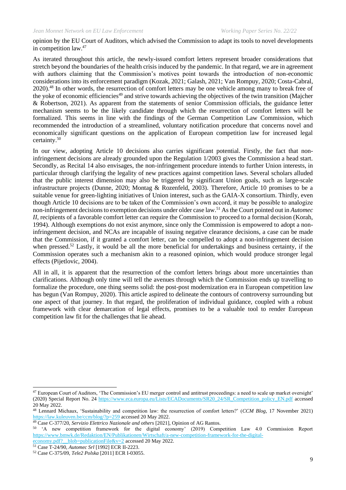opinion by the EU Court of Auditors, which advised the Commission to adapt its tools to novel developments in competition law.<sup>47</sup>

As iterated throughout this article, the newly-issued comfort letters represent broader considerations that stretch beyond the boundaries of the health crisis induced by the pandemic. In that regard, we are in agreement with authors claiming that the Commission's motives point towards the introduction of non-economic considerations into its enforcement paradigm (Kozak, 2021; Galash, 2021; Van Rompuy, 2020; Costa-Cabral, 2020).<sup>48</sup> In other words, the resurrection of comfort letters may be one vehicle among many to break free of the yoke of economic efficiencies<sup>49</sup> and strive towards achieving the objectives of the twin transition (Majcher & Robertson, 2021). As apparent from the statements of senior Commission officials, the guidance letter mechanism seems to be the likely candidate through which the resurrection of comfort letters will be formalized. This seems in line with the findings of the German Competition Law Commission, which recommended the introduction of a streamlined, voluntary notification procedure that concerns novel and economically significant questions on the application of European competition law for increased legal certainty.<sup>50</sup>

In our view, adopting Article 10 decisions also carries significant potential. Firstly, the fact that noninfringement decisions are already grounded upon the Regulation 1/2003 gives the Commission a head start. Secondly, as Recital 14 also envisages, the non-infringement procedure intends to further Union interests, in particular through clarifying the legality of new practices against competition laws. Several scholars alluded that the public interest dimension may also be triggered by significant Union goals, such as large-scale infrastructure projects (Dunne, 2020; Montag & Rozenfeld, 2003). Therefore, Article 10 promises to be a suitable venue for green-lighting initiatives of Union interest, such as the GAIA-X consortium. Thirdly, even though Article 10 decisions are to be taken of the Commission's own accord, it may be possible to analogize non-infringement decisions to exemption decisions under older case law.<sup>51</sup> As the Court pointed out in *Automec II*, recipients of a favorable comfort letter can require the Commission to proceed to a formal decision (Korah, 1994). Although exemptions do not exist anymore, since only the Commission is empowered to adopt a noninfringement decision, and NCAs are incapable of issuing negative clearance decisions, a case can be made that the Commission, if it granted a comfort letter, can be compelled to adopt a non-infringement decision when pressed.<sup>52</sup> Lastly, it would be all the more beneficial for undertakings and business certainty, if the Commission operates such a mechanism akin to a reasoned opinion, which would produce stronger legal effects (Pijetlovic, 2004).

All in all, it is apparent that the resurrection of the comfort letters brings about more uncertainties than clarifications. Although only time will tell the avenues through which the Commission ends up travelling to formalize the procedure, one thing seems solid: the post-post modernization era in European competition law has begun (Van Rompuy, 2020). This article aspired to delineate the contours of controversy surrounding but one aspect of that journey. In that regard, the proliferation of individual guidance, coupled with a robust framework with clear demarcation of legal effects, promises to be a valuable tool to render European competition law fit for the challenges that lie ahead.

<sup>&</sup>lt;sup>47</sup> European Court of Auditors, 'The Commission's EU merger control and antitrust proceedings: a need to scale up market oversight' (2020) Special Report No. 24 [https://www.eca.europa.eu/Lists/ECADocuments/SR20\\_24/SR\\_Competition\\_policy\\_EN.pdf](https://www.eca.europa.eu/Lists/ECADocuments/SR20_24/SR_Competition_policy_EN.pdf) accessed 20 May 2022.

<sup>48</sup> Lennard Michaux, 'Sustainability and competition law: the resurrection of comfort letters?' (*CCM Blog*, 17 November 2021) <https://law.kuleuven.be/ccm/blog/?p=259> accessed 20 May 2022.

<sup>49</sup> Case C-377/20, *Servizio Elettrico Nazionale and others* [2021], Opinion of AG Rantos.

<sup>50</sup> 'A new competition framework for the digital economy' (2019) Competition Law 4.0 Commission Report [https://www.bmwk.de/Redaktion/EN/Publikationen/Wirtschaft/a-new-competition-framework-for-the-digital-](https://www.bmwk.de/Redaktion/EN/Publikationen/Wirtschaft/a-new-competition-framework-for-the-digital-economy.pdf?__blob=publicationFile&v=2)

economy.pdf? blob=publicationFile&v=2 accessed 20 May 2022.

<sup>51</sup> Case T-24/90, *Automec Srl* [1992] ECR II-2223.

<sup>52</sup> Case C-375/09, *Tele2 Polska* [2011] ECR I-03055.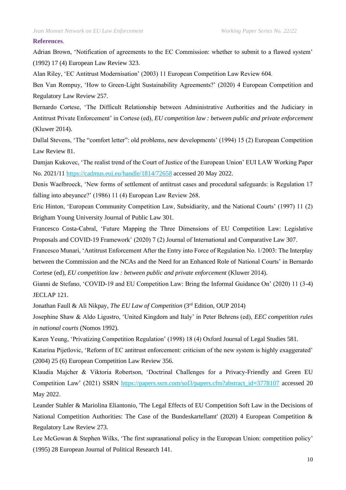#### **References**.

Adrian Brown, 'Notification of agreements to the EC Commission: whether to submit to a flawed system' (1992) 17 (4) European Law Review 323.

Alan Riley, 'EC Antitrust Modernisation' (2003) 11 European Competition Law Review 604.

Ben Van Rompuy, 'How to Green-Light Sustainability Agreements?' (2020) 4 European Competition and Regulatory Law Review 257.

Bernardo Cortese, 'The Difficult Relationship between Administrative Authorities and the Judiciary in Antitrust Private Enforcement' in Cortese (ed), *EU competition law : between public and private enforcement* (Kluwer 2014).

Dallal Stevens, 'The "comfort letter": old problems, new developments' (1994) 15 (2) European Competition Law Review 81.

Damjan Kukovec, 'The realist trend of the Court of Justice of the European Union' EUI LAW Working Paper No. 2021/11<https://cadmus.eui.eu/handle/1814/72658> accessed 20 May 2022.

Denis Waelbroeck, 'New forms of settlement of antitrust cases and procedural safeguards: is Regulation 17 falling into abeyance?' (1986) 11 (4) European Law Review 268.

Eric Hinton, 'European Community Competition Law, Subsidiarity, and the National Courts' (1997) 11 (2) Brigham Young University Journal of Public Law 301.

Francesco Costa-Cabral, 'Future Mapping the Three Dimensions of EU Competition Law: Legislative Proposals and COVID-19 Framework' (2020) 7 (2) Journal of International and Comparative Law 307.

Francesco Munari, 'Antitrust Enforcement After the Entry into Force of Regulation No. 1/2003: The Interplay between the Commission and the NCAs and the Need for an Enhanced Role of National Courts' in Bernardo Cortese (ed), *EU competition law : between public and private enforcement* (Kluwer 2014).

Gianni de Stefano, 'COVID-19 and EU Competition Law: Bring the Informal Guidance On' (2020) 11 (3-4) JECLAP 121.

Jonathan Faull & Ali Nikpay, *The EU Law of Competition* (3rd Edition, OUP 2014)

Josephine Shaw & Aldo Ligustro, 'United Kingdom and Italy' in Peter Behrens (ed), *EEC competition rules in national courts* (Nomos 1992).

Karen Yeung, 'Privatizing Competition Regulation' (1998) 18 (4) Oxford Journal of Legal Studies 581.

Katarina Pijetlovic, 'Reform of EC antitrust enforcement: criticism of the new system is highly exaggerated' (2004) 25 (6) European Competition Law Review 356.

Klaudia Majcher & Viktoria Robertson, 'Doctrinal Challenges for a Privacy-Friendly and Green EU Competition Law' (2021) SSRN [https://papers.ssrn.com/sol3/papers.cfm?abstract\\_id=3778107](https://papers.ssrn.com/sol3/papers.cfm?abstract_id=3778107) accessed 20 May 2022.

Leander Stahler & Mariolina Eliantonio, 'The Legal Effects of EU Competition Soft Law in the Decisions of National Competition Authorities: The Case of the Bundeskartellamt' (2020) 4 European Competition & Regulatory Law Review 273.

Lee McGowan & Stephen Wilks, 'The first supranational policy in the European Union: competition policy' (1995) 28 European Journal of Political Research 141.